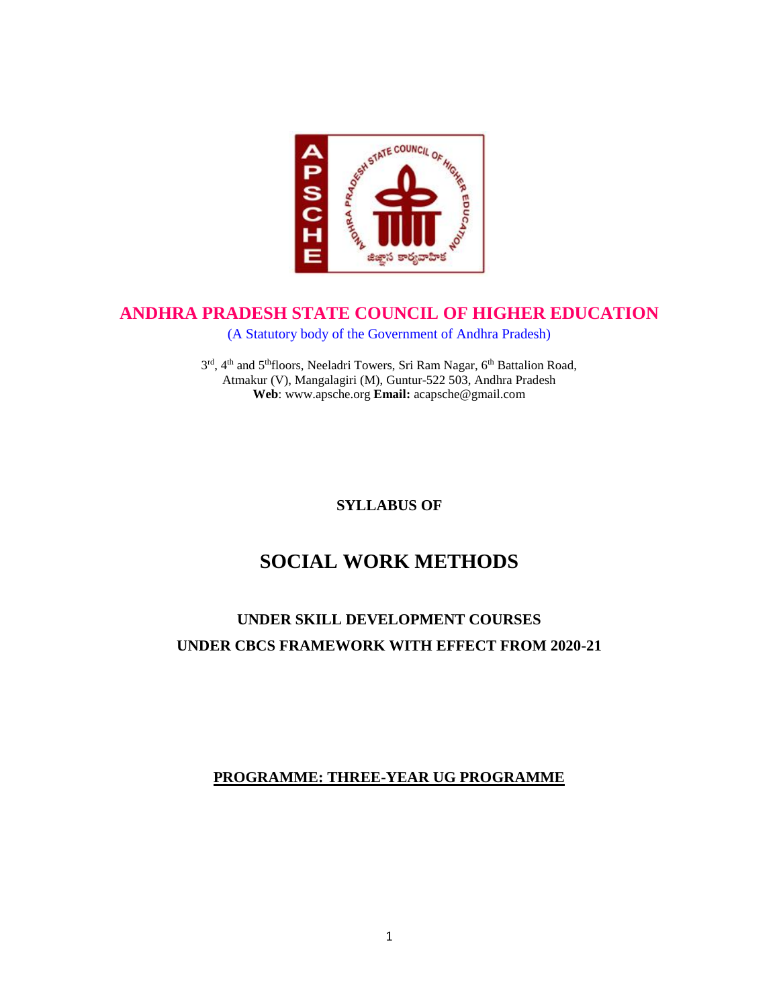

## **ANDHRA PRADESH STATE COUNCIL OF HIGHER EDUCATION**

(A Statutory body of the Government of Andhra Pradesh)

3rd, 4<sup>th</sup> and 5<sup>th</sup>floors, Neeladri Towers, Sri Ram Nagar, 6<sup>th</sup> Battalion Road, Atmakur (V), Mangalagiri (M), Guntur-522 503, Andhra Pradesh **Web**: www.apsche.org **Email:** acapsche@gmail.com

**SYLLABUS OF**

# **SOCIAL WORK METHODS**

# **UNDER SKILL DEVELOPMENT COURSES UNDER CBCS FRAMEWORK WITH EFFECT FROM 2020-21**

### **PROGRAMME: THREE-YEAR UG PROGRAMME**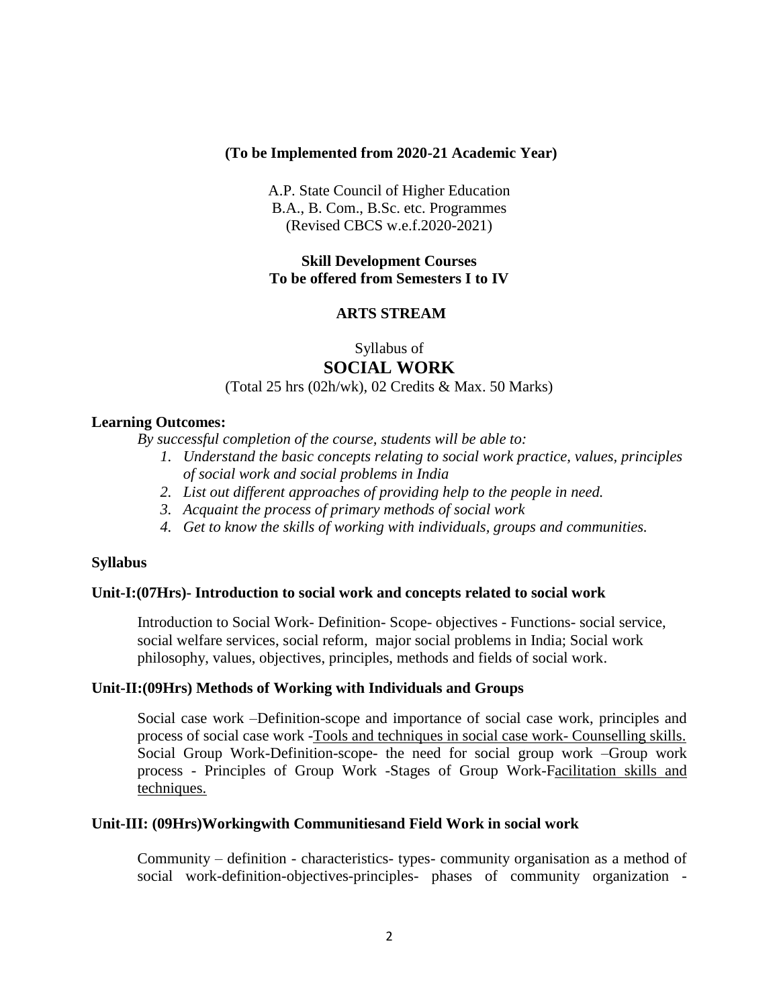#### **(To be Implemented from 2020-21 Academic Year)**

A.P. State Council of Higher Education B.A., B. Com., B.Sc. etc. Programmes (Revised CBCS w.e.f.2020-2021)

**Skill Development Courses To be offered from Semesters I to IV**

#### **ARTS STREAM**

Syllabus of

#### **SOCIAL WORK**

#### (Total 25 hrs (02h/wk), 02 Credits & Max. 50 Marks)

#### **Learning Outcomes:**

*By successful completion of the course, students will be able to:*

- *1. Understand the basic concepts relating to social work practice, values, principles of social work and social problems in India*
- *2. List out different approaches of providing help to the people in need.*
- *3. Acquaint the process of primary methods of social work*
- *4. Get to know the skills of working with individuals, groups and communities.*

#### **Syllabus**

#### **Unit-I:(07Hrs)- Introduction to social work and concepts related to social work**

Introduction to Social Work- Definition- Scope- objectives - Functions- social service, social welfare services, social reform, major social problems in India; Social work philosophy, values, objectives, principles, methods and fields of social work.

#### **Unit-II:(09Hrs) Methods of Working with Individuals and Groups**

Social case work –Definition-scope and importance of social case work, principles and process of social case work -Tools and techniques in social case work- Counselling skills. Social Group Work-Definition-scope- the need for social group work –Group work process - Principles of Group Work -Stages of Group Work-Facilitation skills and techniques.

#### **Unit-III: (09Hrs)Workingwith Communitiesand Field Work in social work**

Community – definition - characteristics- types- community organisation as a method of social work-definition-objectives-principles- phases of community organization -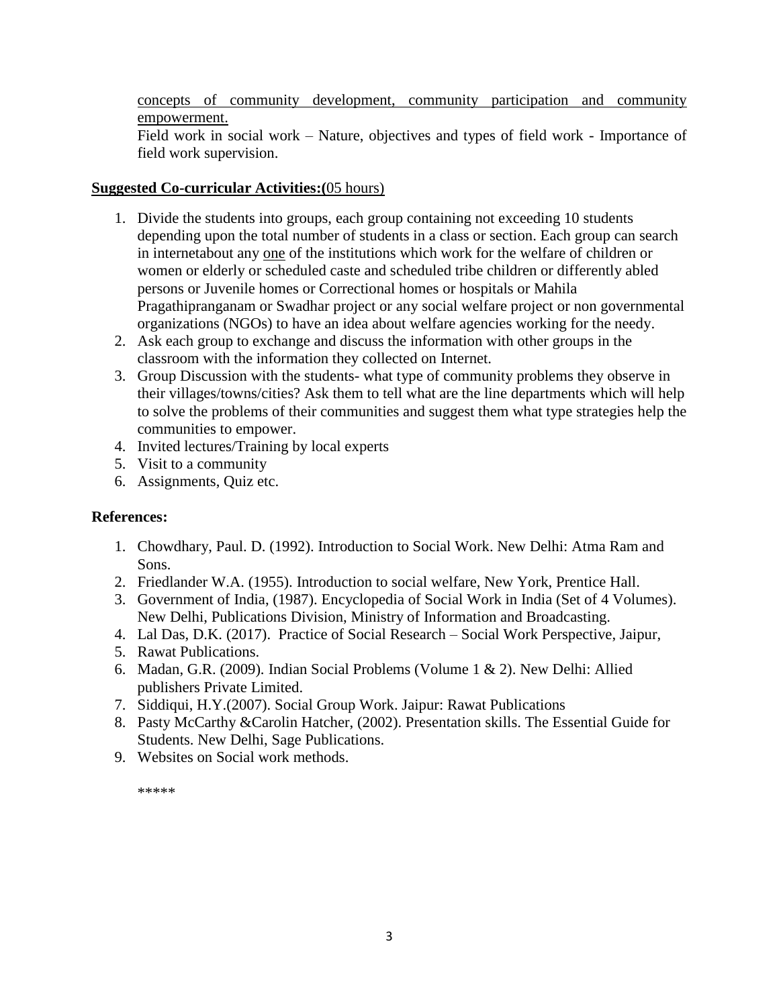concepts of community development, community participation and community empowerment.

Field work in social work – Nature, objectives and types of field work - Importance of field work supervision.

### **Suggested Co-curricular Activities:(**05 hours)

- 1. Divide the students into groups, each group containing not exceeding 10 students depending upon the total number of students in a class or section. Each group can search in internetabout any one of the institutions which work for the welfare of children or women or elderly or scheduled caste and scheduled tribe children or differently abled persons or Juvenile homes or Correctional homes or hospitals or Mahila Pragathipranganam or Swadhar project or any social welfare project or non governmental organizations (NGOs) to have an idea about welfare agencies working for the needy.
- 2. Ask each group to exchange and discuss the information with other groups in the classroom with the information they collected on Internet.
- 3. Group Discussion with the students- what type of community problems they observe in their villages/towns/cities? Ask them to tell what are the line departments which will help to solve the problems of their communities and suggest them what type strategies help the communities to empower.
- 4. Invited lectures/Training by local experts
- 5. Visit to a community
- 6. Assignments, Quiz etc.

### **References:**

- 1. Chowdhary, Paul. D. (1992). Introduction to Social Work. New Delhi: Atma Ram and Sons.
- 2. Friedlander W.A. (1955). Introduction to social welfare, New York, Prentice Hall.
- 3. Government of India, (1987). Encyclopedia of Social Work in India (Set of 4 Volumes). New Delhi, Publications Division, Ministry of Information and Broadcasting.
- 4. Lal Das, D.K. (2017). Practice of Social Research Social Work Perspective, Jaipur,
- 5. Rawat Publications.
- 6. Madan, G.R. (2009). Indian Social Problems (Volume 1 & 2). New Delhi: Allied publishers Private Limited.
- 7. Siddiqui, H.Y.(2007). Social Group Work. Jaipur: Rawat Publications
- 8. Pasty McCarthy &Carolin Hatcher, (2002). Presentation skills. The Essential Guide for Students. New Delhi, Sage Publications.
- 9. Websites on Social work methods.

\*\*\*\*\*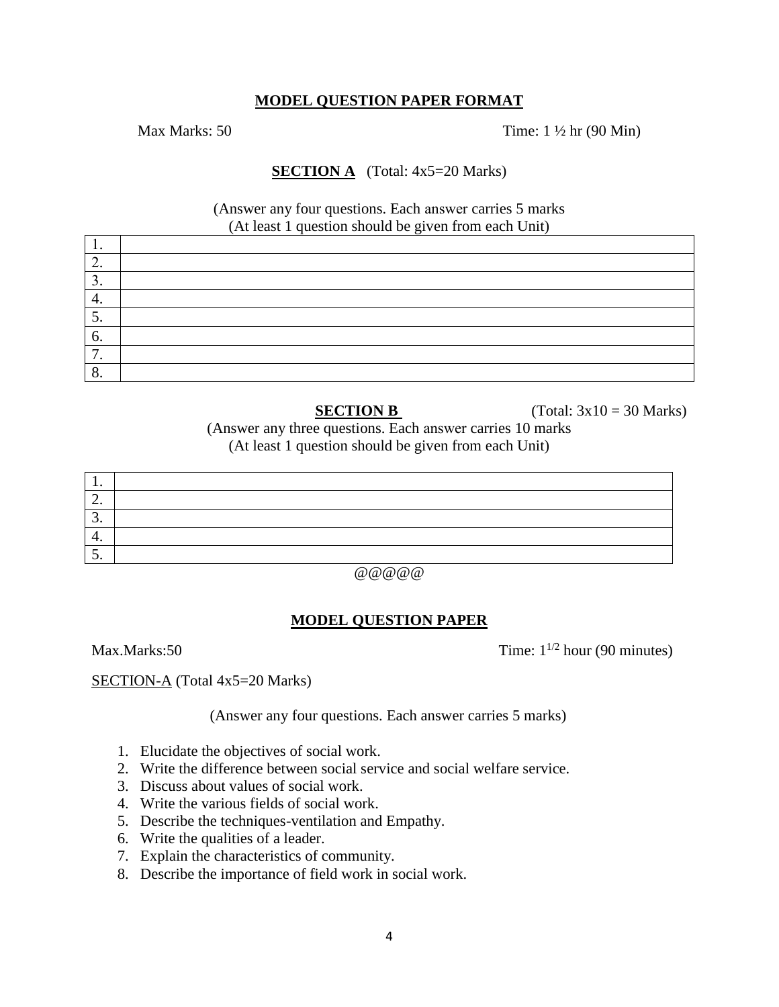#### **MODEL QUESTION PAPER FORMAT**

Max Marks:  $50$  Time:  $1 \frac{1}{2}$  hr (90 Min)

### **SECTION A** (Total: 4x5=20 Marks)

(Answer any four questions. Each answer carries 5 marks (At least 1 question should be given from each Unit)

| . .     |  |
|---------|--|
| ـ ــ    |  |
| J.      |  |
| 4.      |  |
| J.      |  |
| 6.      |  |
| ⇁<br>,, |  |
| Ω<br>o. |  |

**SECTION B** (Total:  $3x10 = 30$  Marks)

(Answer any three questions. Each answer carries 10 marks (At least 1 question should be given from each Unit)

| . .        |  |  |
|------------|--|--|
| <u>L</u> . |  |  |
| <u>.</u>   |  |  |
| т.         |  |  |
| J.         |  |  |
| ------     |  |  |

@@@@@

#### **MODEL QUESTION PAPER**

Max.Marks:50  $\text{Time: } 1^{1/2} \text{ hour (90 minutes)}$ 

SECTION-A (Total 4x5=20 Marks)

(Answer any four questions. Each answer carries 5 marks)

- 1. Elucidate the objectives of social work.
- 2. Write the difference between social service and social welfare service.
- 3. Discuss about values of social work.
- 4. Write the various fields of social work.
- 5. Describe the techniques-ventilation and Empathy.
- 6. Write the qualities of a leader.
- 7. Explain the characteristics of community.
- 8. Describe the importance of field work in social work.